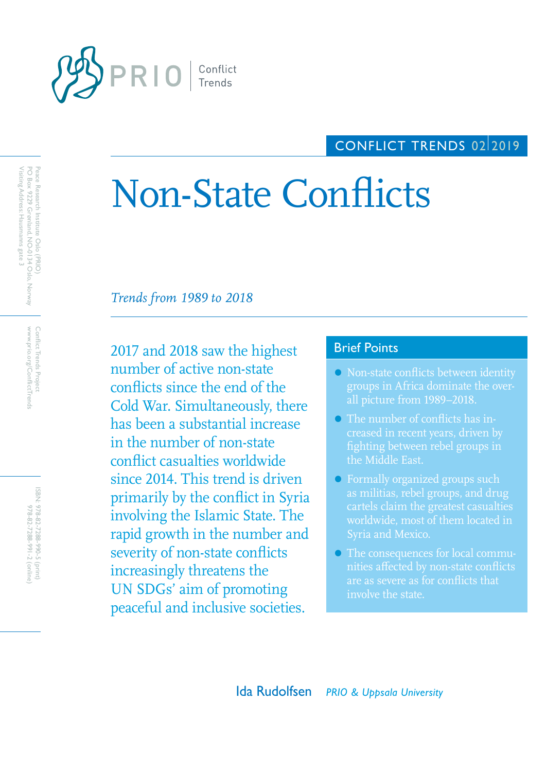

Visiting Address: Hausmanns gate 3

PO Box 9229 Grønland, NO-0134 Oslo, Norway Peace Research Institute Oslo (PRIO)

Peace Research Institute Oslo (PRIO)<br>PO Box 9229 Grønland, NO-0134 Oslo, Norway<br>Visiting Address: Hausmanns gate 3

www.prio.org/ConflictTrends Conflict Trends Project

www.prio.org/ConflictTrends Conflict Trends Project

> ISBN: 978-82-7288-990-5 (print) 978-82-7288-991-2 (online) 978-82-7288-990-5 (print)

978-82-7288-991-2 (online

## CONFLICT TRENDS 02/2019

# Non-State Conflicts

*Trends from 1989 to 2018*

2017 and 2018 saw the highest Brief Points number of active non-state conflicts since the end of the Cold War. Simultaneously, there has been a substantial increase in the number of non-state conflict casualties worldwide since 2014. This trend is driven primarily by the conflict in Syria involving the Islamic State. The rapid growth in the number and severity of non-state conflicts increasingly threatens the UN SDGs' aim of promoting peaceful and inclusive societies.

- Non-state conflicts between identity groups in Africa dominate the overall picture from 1989–2018.
- The number of conflicts has infighting between rebel groups in the Middle East.
- Formally organized groups such as militias, rebel groups, and drug cartels claim the greatest casualties worldwide, most of them located in
- The consequences for local communities affected by non-state conflicts are as severe as for conflicts that involve the state.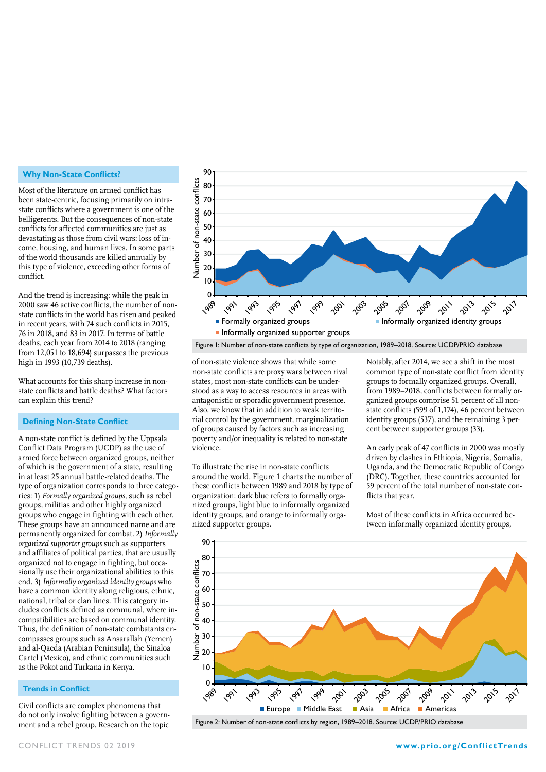#### **Why Non-State Conflicts?**

Most of the literature on armed conflict has been state-centric, focusing primarily on intrastate conflicts where a government is one of the belligerents. But the consequences of non-state conflicts for affected communities are just as devastating as those from civil wars: loss of income, housing, and human lives. In some parts of the world thousands are killed annually by this type of violence, exceeding other forms of conflict.

And the trend is increasing: while the peak in 2000 saw 46 active conflicts, the number of nonstate conflicts in the world has risen and peaked in recent years, with 74 such conflicts in 2015, 76 in 2018, and 83 in 2017. In terms of battle deaths, each year from 2014 to 2018 (ranging from 12,051 to 18,694) surpasses the previous high in 1993 (10,739 deaths).

What accounts for this sharp increase in nonstate conflicts and battle deaths? What factors can explain this trend?

#### **Defining Non-State Conflict**

A non-state conflict is defined by the Uppsala Conflict Data Program (UCDP) as the use of armed force between organized groups, neither of which is the government of a state, resulting in at least 25 annual battle-related deaths. The type of organization corresponds to three categories: 1) *Formally organized groups*, such as rebel groups, militias and other highly organized groups who engage in fighting with each other. These groups have an announced name and are permanently organized for combat. 2) *Informally organized supporter groups* such as supporters and affiliates of political parties, that are usually organized not to engage in fighting, but occasionally use their organizational abilities to this end. 3) *Informally organized identity groups* who have a common identity along religious, ethnic, national, tribal or clan lines. This category includes conflicts defined as communal, where incompatibilities are based on communal identity. Thus, the definition of non-state combatants encompasses groups such as Ansarallah (Yemen) and al-Qaeda (Arabian Peninsula), the Sinaloa Cartel (Mexico), and ethnic communities such as the Pokot and Turkana in Kenya.

#### **Trends in Conflict**

Civil conflicts are complex phenomena that do not only involve fighting between a government and a rebel group. Research on the topic



of non-state violence shows that while some non-state conflicts are proxy wars between rival states, most non-state conflicts can be understood as a way to access resources in areas with antagonistic or sporadic government presence. Also, we know that in addition to weak territorial control by the government, marginalization of groups caused by factors such as increasing poverty and/or inequality is related to non-state violence.

To illustrate the rise in non-state conflicts around the world, Figure 1 charts the number of these conflicts between 1989 and 2018 by type of organization: dark blue refers to formally organized groups, light blue to informally organized identity groups, and orange to informally organized supporter groups.

Notably, after 2014, we see a shift in the most common type of non-state conflict from identity groups to formally organized groups. Overall, from 1989–2018, conflicts between formally organized groups comprise 51 percent of all nonstate conflicts (599 of 1,174), 46 percent between identity groups (537), and the remaining 3 percent between supporter groups (33).

An early peak of 47 conflicts in 2000 was mostly driven by clashes in Ethiopia, Nigeria, Somalia, Uganda, and the Democratic Republic of Congo (DRC). Together, these countries accounted for 59 percent of the total number of non-state conflicts that year.

Most of these conflicts in Africa occurred between informally organized identity groups,

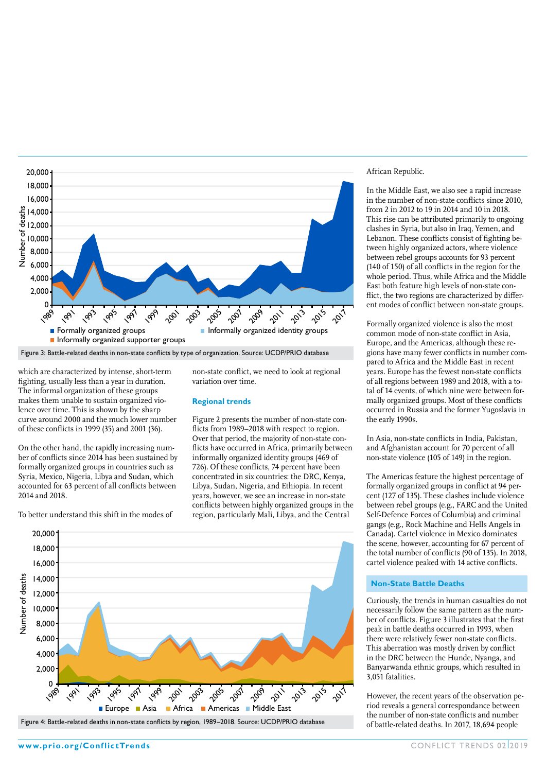

which are characterized by intense, short-term fighting, usually less than a year in duration. The informal organization of these groups makes them unable to sustain organized violence over time. This is shown by the sharp curve around 2000 and the much lower number of these conflicts in 1999 (35) and 2001 (36).

On the other hand, the rapidly increasing number of conflicts since 2014 has been sustained by formally organized groups in countries such as Syria, Mexico, Nigeria, Libya and Sudan, which accounted for 63 percent of all conflicts between 2014 and 2018.

To better understand this shift in the modes of

non-state conflict, we need to look at regional variation over time.

#### **Regional trends**

Figure 2 presents the number of non-state conflicts from 1989–2018 with respect to region. Over that period, the majority of non-state conflicts have occurred in Africa, primarily between informally organized identity groups (469 of 726). Of these conflicts, 74 percent have been concentrated in six countries: the DRC, Kenya, Libya, Sudan, Nigeria, and Ethiopia. In recent years, however, we see an increase in non-state conflicts between highly organized groups in the region, particularly Mali, Libya, and the Central



#### African Republic.

In the Middle East, we also see a rapid increase in the number of non-state conflicts since 2010, from 2 in 2012 to 19 in 2014 and 10 in 2018. This rise can be attributed primarily to ongoing clashes in Syria, but also in Iraq, Yemen, and Lebanon. These conflicts consist of fighting between highly organized actors, where violence between rebel groups accounts for 93 percent (140 of 150) of all conflicts in the region for the whole period. Thus, while Africa and the Middle East both feature high levels of non-state conflict, the two regions are characterized by different modes of conflict between non-state groups.

Formally organized violence is also the most common mode of non-state conflict in Asia, Europe, and the Americas, although these regions have many fewer conflicts in number compared to Africa and the Middle East in recent years. Europe has the fewest non-state conflicts of all regions between 1989 and 2018, with a total of 14 events, of which nine were between formally organized groups. Most of these conflicts occurred in Russia and the former Yugoslavia in the early 1990s.

In Asia, non-state conflicts in India, Pakistan, and Afghanistan account for 70 percent of all non-state violence (105 of 149) in the region.

The Americas feature the highest percentage of formally organized groups in conflict at 94 percent (127 of 135). These clashes include violence between rebel groups (e.g., FARC and the United Self-Defence Forces of Columbia) and criminal gangs (e.g., Rock Machine and Hells Angels in Canada). Cartel violence in Mexico dominates the scene, however, accounting for 67 percent of the total number of conflicts (90 of 135). In 2018, cartel violence peaked with 14 active conflicts.

#### **Non-State Battle Deaths**

Curiously, the trends in human casualties do not necessarily follow the same pattern as the number of conflicts. Figure 3 illustrates that the first peak in battle deaths occurred in 1993, when there were relatively fewer non-state conflicts. This aberration was mostly driven by conflict in the DRC between the Hunde, Nyanga, and Banyarwanda ethnic groups, which resulted in 3,051 fatalities.

However, the recent years of the observation period reveals a general correspondance between the number of non-state conflicts and number of battle-related deaths. In 2017, 18,694 people